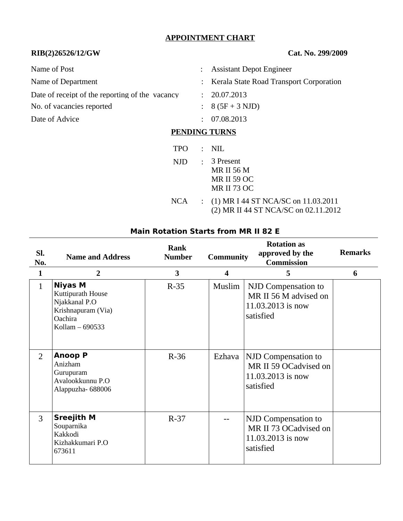## **APPOINTMENT CHART**

## **RIB(2)26526/12/GW Cat. No. 299/2009**

| Name of Post                                    |                      | <b>Assistant Depot Engineer</b>                                            |
|-------------------------------------------------|----------------------|----------------------------------------------------------------------------|
| Name of Department                              |                      | : Kerala State Road Transport Corporation                                  |
| Date of receipt of the reporting of the vacancy | $\ddot{\phantom{a}}$ | 20.07.2013                                                                 |
| No. of vacancies reported                       |                      | $: 8(5F + 3 NJD)$                                                          |
| Date of Advice                                  | ÷                    | 07.08.2013                                                                 |
|                                                 | <b>PENDING TURNS</b> |                                                                            |
| <b>TPO</b>                                      | ÷                    | <b>NIL</b>                                                                 |
| NJD                                             | $\mathcal{L}$        | 3 Present<br><b>MR II 56 M</b><br><b>MR II 59 OC</b><br><b>MR II 73 OC</b> |

NCA : (1) MR I 44 ST NCA/SC on 11.03.2011 (2) MR II 44 ST NCA/SC on 02.11.2012

### **Main Rotation Starts from MR II 82 E**

| SI.<br>No.     | <b>Name and Address</b>                                                                                  | <b>Rank</b><br><b>Number</b> | <b>Community</b>        | <b>Rotation as</b><br>approved by the<br><b>Commission</b>                            | <b>Remarks</b> |
|----------------|----------------------------------------------------------------------------------------------------------|------------------------------|-------------------------|---------------------------------------------------------------------------------------|----------------|
| $\mathbf{1}$   | $\overline{2}$                                                                                           | $\overline{\mathbf{3}}$      | $\overline{\mathbf{4}}$ | 5                                                                                     | 6              |
| $\mathbf{1}$   | <b>Niyas M</b><br>Kuttipurath House<br>Njakkanal P.O<br>Krishnapuram (Via)<br>Oachira<br>Kollam - 690533 | $R-35$                       | Muslim                  | NJD Compensation to<br>MR II 56 M advised on<br>11.03.2013 is now<br>satisfied        |                |
| $\overline{2}$ | <b>Anoop P</b><br>Anizham<br>Gurupuram<br>Avalookkunnu P.O<br>Alappuzha-688006                           | $R-36$                       | Ezhava                  | <b>NJD Compensation to</b><br>MR II 59 OCadvised on<br>11.03.2013 is now<br>satisfied |                |
| 3              | <b>Sreejith M</b><br>Souparnika<br>Kakkodi<br>Kizhakkumari P.O<br>673611                                 | $R-37$                       |                         | NJD Compensation to<br>MR II 73 OCadvised on<br>11.03.2013 is now<br>satisfied        |                |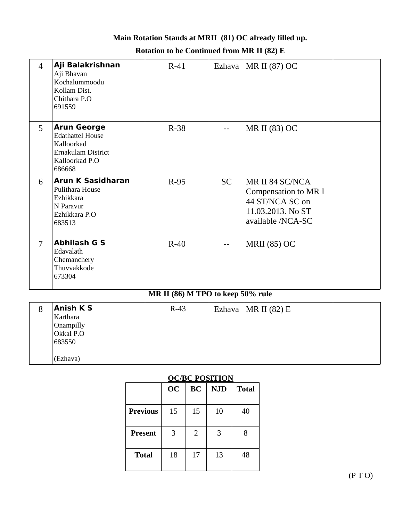# **Main Rotation Stands at MRII (81) OC already filled up. Rotation to be Continued from MR II (82) E**

| $\overline{4}$ | Aji Balakrishnan<br>Aji Bhavan<br>Kochalummoodu<br>Kollam Dist.<br>Chithara P.O<br>691559                     | $R-41$   |                   | Ezhava   MR II (87) OC                                                                               |  |  |
|----------------|---------------------------------------------------------------------------------------------------------------|----------|-------------------|------------------------------------------------------------------------------------------------------|--|--|
| 5              | <b>Arun George</b><br><b>Edathattel House</b><br>Kalloorkad<br>Ernakulam District<br>Kalloorkad P.O<br>686668 | $R-38$   |                   | MR II (83) OC                                                                                        |  |  |
| 6              | <b>Arun K Sasidharan</b><br>Pulithara House<br>Ezhikkara<br>N Paravur<br>Ezhikkara P.O<br>683513              | $R-95$   | <b>SC</b>         | MR II 84 SC/NCA<br>Compensation to MR I<br>44 ST/NCA SC on<br>11.03.2013. No ST<br>available /NCA-SC |  |  |
| $\overline{7}$ | <b>Abhilash G S</b><br>Edavalath<br>Chemanchery<br>Thuvvakkode<br>673304                                      | $R-40$   |                   | <b>MRII</b> (85) OC                                                                                  |  |  |
|                | MR II (86) M TPO to keep 50% rule                                                                             |          |                   |                                                                                                      |  |  |
| $\Omega$       | Anich V C                                                                                                     | $D = 4D$ | $E = \frac{1}{2}$ | MD H (02) F                                                                                          |  |  |

| 8 | <b>Anish KS</b><br>Karthara<br>Onampilly<br>Okkal P.O<br>683550 | $R-43$ | Ezhava   MR II $(82)$ E |  |
|---|-----------------------------------------------------------------|--------|-------------------------|--|
|   | (Ezhava)                                                        |        |                         |  |

# **OC/BC POSITION**

|                 | <b>OC</b> | <b>BC</b> | <b>NJD</b> | <b>Total</b> |
|-----------------|-----------|-----------|------------|--------------|
| <b>Previous</b> | 15        | 15        | 10         | 40           |
| <b>Present</b>  | 3         | 2         | 3          | 8            |
| <b>Total</b>    | 18        | 17        | 13         | 48           |